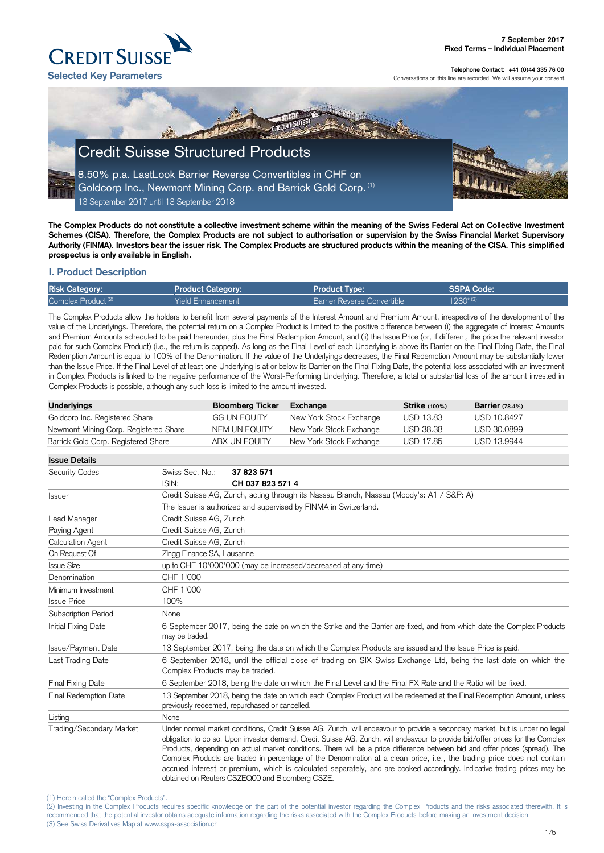#### (1) Herein called the "Complex Products".

(2) Investing in the Complex Products requires specific knowledge on the part of the potential investor regarding the Complex Products and the risks associated therewith. It is recommended that the potential investor obtains adequate information regarding the risks associated with the Complex Products before making an investment decision. (3) See Swiss Derivatives Map at www.sspa-association.ch.



**Telephone Contact: +41 (0)44 335 76 00**

Conversations on this line are recorded. We will assume your consent.

**The Complex Products do not constitute a collective investment scheme within the meaning of the Swiss Federal Act on Collective Investment Schemes (CISA). Therefore, the Complex Products are not subject to authorisation or supervision by the Swiss Financial Market Supervisory Authority (FINMA). Investors bear the issuer risk. The Complex Products are structured products within the meaning of the CISA. This simplified prospectus is only available in English.**

## **I. Product Description**

| <b>Risk Category:</b>          | <b>Product Category:</b> | <b>Product Type:</b>               | SSPA Code:    |
|--------------------------------|--------------------------|------------------------------------|---------------|
| Complex Product <sup>(2)</sup> | <b>Yield Enhancement</b> | <b>Barrier Reverse Convertible</b> | $1230^{*(3)}$ |

The Complex Products allow the holders to benefit from several payments of the Interest Amount and Premium Amount, irrespective of the development of the value of the Underlyings. Therefore, the potential return on a Complex Product is limited to the positive difference between (i) the aggregate of Interest Amounts and Premium Amounts scheduled to be paid thereunder, plus the Final Redemption Amount, and (ii) the Issue Price (or, if different, the price the relevant investor paid for such Complex Product) (i.e., the return is capped). As long as the Final Level of each Underlying is above its Barrier on the Final Fixing Date, the Final Redemption Amount is equal to 100% of the Denomination. If the value of the Underlyings decreases, the Final Redemption Amount may be substantially lower than the Issue Price. If the Final Level of at least one Underlying is at or below its Barrier on the Final Fixing Date, the potential loss associated with an investment in Complex Products is linked to the negative performance of the Worst-Performing Underlying. Therefore, a total or substantial loss of the amount invested in Complex Products is possible, although any such loss is limited to the amount invested.

| Underlyings                           | <b>Bloomberg Ticker</b> | Exchange                | <b>Strike</b> (100%) | Barrier $(78.4%)$ |
|---------------------------------------|-------------------------|-------------------------|----------------------|-------------------|
| Goldcorp Inc. Registered Share        | <b>GG UN EQUITY</b>     | New York Stock Exchange | <b>USD 13.83</b>     | USD 10.8427       |
| Newmont Mining Corp. Registered Share | NEM UN EQUITY           | New York Stock Exchange | <b>USD 38.38</b>     | USD 30.0899       |
| Barrick Gold Corp. Registered Share   | ABX UN EQUITY           | New York Stock Exchange | USD 17.85            | USD 13.9944       |

| <b>Issue Details</b>     |                                                                                                                                                                                                                                                                                                                                                                                                                                                                                                                                                                                                                                                                                                              |                                                                                           |  |  |
|--------------------------|--------------------------------------------------------------------------------------------------------------------------------------------------------------------------------------------------------------------------------------------------------------------------------------------------------------------------------------------------------------------------------------------------------------------------------------------------------------------------------------------------------------------------------------------------------------------------------------------------------------------------------------------------------------------------------------------------------------|-------------------------------------------------------------------------------------------|--|--|
| <b>Security Codes</b>    | Swiss Sec. No.:<br>ISIN:                                                                                                                                                                                                                                                                                                                                                                                                                                                                                                                                                                                                                                                                                     | 37 823 571<br>CH 037 823 571 4                                                            |  |  |
| <b>Issuer</b>            |                                                                                                                                                                                                                                                                                                                                                                                                                                                                                                                                                                                                                                                                                                              | Credit Suisse AG, Zurich, acting through its Nassau Branch, Nassau (Moody's: A1 / S&P: A) |  |  |
|                          |                                                                                                                                                                                                                                                                                                                                                                                                                                                                                                                                                                                                                                                                                                              | The Issuer is authorized and supervised by FINMA in Switzerland.                          |  |  |
| Lead Manager             | Credit Suisse AG, Zurich                                                                                                                                                                                                                                                                                                                                                                                                                                                                                                                                                                                                                                                                                     |                                                                                           |  |  |
| Paying Agent             |                                                                                                                                                                                                                                                                                                                                                                                                                                                                                                                                                                                                                                                                                                              | Credit Suisse AG, Zurich                                                                  |  |  |
| <b>Calculation Agent</b> |                                                                                                                                                                                                                                                                                                                                                                                                                                                                                                                                                                                                                                                                                                              | Credit Suisse AG, Zurich                                                                  |  |  |
| On Request Of            |                                                                                                                                                                                                                                                                                                                                                                                                                                                                                                                                                                                                                                                                                                              | Zingg Finance SA, Lausanne                                                                |  |  |
| <b>Issue Size</b>        |                                                                                                                                                                                                                                                                                                                                                                                                                                                                                                                                                                                                                                                                                                              | up to CHF 10'000'000 (may be increased/decreased at any time)                             |  |  |
| Denomination             | CHF 1'000                                                                                                                                                                                                                                                                                                                                                                                                                                                                                                                                                                                                                                                                                                    |                                                                                           |  |  |
| Minimum Investment       | CHF 1'000                                                                                                                                                                                                                                                                                                                                                                                                                                                                                                                                                                                                                                                                                                    |                                                                                           |  |  |
| <b>Issue Price</b>       | 100%                                                                                                                                                                                                                                                                                                                                                                                                                                                                                                                                                                                                                                                                                                         |                                                                                           |  |  |
| Subscription Period      | None                                                                                                                                                                                                                                                                                                                                                                                                                                                                                                                                                                                                                                                                                                         |                                                                                           |  |  |
| Initial Fixing Date      | 6 September 2017, being the date on which the Strike and the Barrier are fixed, and from which date the Complex Products<br>may be traded.                                                                                                                                                                                                                                                                                                                                                                                                                                                                                                                                                                   |                                                                                           |  |  |
| Issue/Payment Date       | 13 September 2017, being the date on which the Complex Products are issued and the Issue Price is paid.                                                                                                                                                                                                                                                                                                                                                                                                                                                                                                                                                                                                      |                                                                                           |  |  |
| Last Trading Date        | 6 September 2018, until the official close of trading on SIX Swiss Exchange Ltd, being the last date on which the<br>Complex Products may be traded.                                                                                                                                                                                                                                                                                                                                                                                                                                                                                                                                                         |                                                                                           |  |  |
| Final Fixing Date        | 6 September 2018, being the date on which the Final Level and the Final FX Rate and the Ratio will be fixed.                                                                                                                                                                                                                                                                                                                                                                                                                                                                                                                                                                                                 |                                                                                           |  |  |
| Final Redemption Date    | 13 September 2018, being the date on which each Complex Product will be redeemed at the Final Redemption Amount, unless<br>previously redeemed, repurchased or cancelled.                                                                                                                                                                                                                                                                                                                                                                                                                                                                                                                                    |                                                                                           |  |  |
| Listing                  | None                                                                                                                                                                                                                                                                                                                                                                                                                                                                                                                                                                                                                                                                                                         |                                                                                           |  |  |
| Trading/Secondary Market | Under normal market conditions, Credit Suisse AG, Zurich, will endeavour to provide a secondary market, but is under no legal<br>obligation to do so. Upon investor demand, Credit Suisse AG, Zurich, will endeavour to provide bid/offer prices for the Complex<br>Products, depending on actual market conditions. There will be a price difference between bid and offer prices (spread). The<br>Complex Products are traded in percentage of the Denomination at a clean price, i.e., the trading price does not contain<br>accrued interest or premium, which is calculated separately, and are booked accordingly. Indicative trading prices may be<br>obtained on Reuters CSZEQ00 and Bloomberg CSZE. |                                                                                           |  |  |

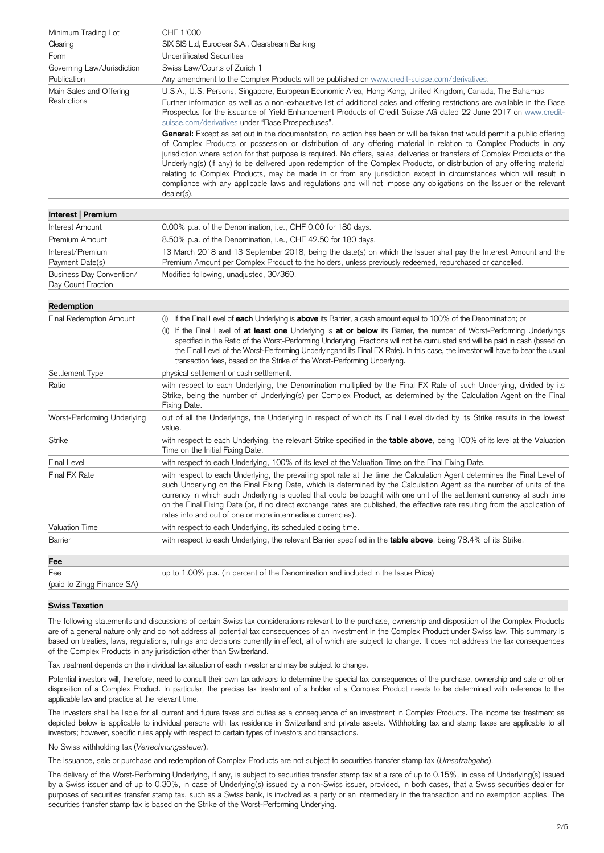| Minimum Trading Lot                            | CHF 1'000                                                                                                                                                                                                                                                                                                                                                                                                                                                                                                                                                                                                                                                                                                                                                              |
|------------------------------------------------|------------------------------------------------------------------------------------------------------------------------------------------------------------------------------------------------------------------------------------------------------------------------------------------------------------------------------------------------------------------------------------------------------------------------------------------------------------------------------------------------------------------------------------------------------------------------------------------------------------------------------------------------------------------------------------------------------------------------------------------------------------------------|
| Clearing                                       | SIX SIS Ltd, Euroclear S.A., Clearstream Banking                                                                                                                                                                                                                                                                                                                                                                                                                                                                                                                                                                                                                                                                                                                       |
| Form                                           | <b>Uncertificated Securities</b>                                                                                                                                                                                                                                                                                                                                                                                                                                                                                                                                                                                                                                                                                                                                       |
| Governing Law/Jurisdiction                     | Swiss Law/Courts of Zurich 1                                                                                                                                                                                                                                                                                                                                                                                                                                                                                                                                                                                                                                                                                                                                           |
| Publication                                    | Any amendment to the Complex Products will be published on www.credit-suisse.com/derivatives.                                                                                                                                                                                                                                                                                                                                                                                                                                                                                                                                                                                                                                                                          |
| Main Sales and Offering<br><b>Restrictions</b> | U.S.A., U.S. Persons, Singapore, European Economic Area, Hong Kong, United Kingdom, Canada, The Bahamas<br>Further information as well as a non-exhaustive list of additional sales and offering restrictions are available in the Base<br>Prospectus for the issuance of Yield Enhancement Products of Credit Suisse AG dated 22 June 2017 on www.credit-<br>suisse.com/derivatives under "Base Prospectuses".                                                                                                                                                                                                                                                                                                                                                        |
|                                                | General: Except as set out in the documentation, no action has been or will be taken that would permit a public offering<br>of Complex Products or possession or distribution of any offering material in relation to Complex Products in any<br>jurisdiction where action for that purpose is required. No offers, sales, deliveries or transfers of Complex Products or the<br>Underlying(s) (if any) to be delivered upon redemption of the Complex Products, or distribution of any offering material<br>relating to Complex Products, may be made in or from any jurisdiction except in circumstances which will result in<br>compliance with any applicable laws and regulations and will not impose any obligations on the Issuer or the relevant<br>dealer(s). |
| Interest   Premium                             |                                                                                                                                                                                                                                                                                                                                                                                                                                                                                                                                                                                                                                                                                                                                                                        |
| Interest Amount                                | 0.00% p.a. of the Denomination, i.e., CHF 0.00 for 180 days.                                                                                                                                                                                                                                                                                                                                                                                                                                                                                                                                                                                                                                                                                                           |
| Premium Amount                                 | 8.50% p.a. of the Denomination, i.e., CHF 42.50 for 180 days.                                                                                                                                                                                                                                                                                                                                                                                                                                                                                                                                                                                                                                                                                                          |
| Interest/Premium<br>Payment Date(s)            | 13 March 2018 and 13 September 2018, being the date(s) on which the Issuer shall pay the Interest Amount and the<br>Premium Amount per Complex Product to the holders, unless previously redeemed, repurchased or cancelled.                                                                                                                                                                                                                                                                                                                                                                                                                                                                                                                                           |
| Business Day Convention/<br>Day Count Fraction | Modified following, unadjusted, 30/360.                                                                                                                                                                                                                                                                                                                                                                                                                                                                                                                                                                                                                                                                                                                                |
| Redemption                                     |                                                                                                                                                                                                                                                                                                                                                                                                                                                                                                                                                                                                                                                                                                                                                                        |
| <b>Final Redemption Amount</b>                 | If the Final Level of each Underlying is above its Barrier, a cash amount equal to 100% of the Denomination; or<br>(i)<br>If the Final Level of at least one Underlying is at or below its Barrier, the number of Worst-Performing Underlyings<br>(ii)<br>specified in the Ratio of the Worst-Performing Underlying. Fractions will not be cumulated and will be paid in cash (based on<br>the Final Level of the Worst-Performing Underlyingand its Final FX Rate). In this case, the investor will have to bear the usual<br>transaction fees, based on the Strike of the Worst-Performing Underlying.                                                                                                                                                               |
| Settlement Type                                | physical settlement or cash settlement.                                                                                                                                                                                                                                                                                                                                                                                                                                                                                                                                                                                                                                                                                                                                |
| Ratio                                          | with respect to each Underlying, the Denomination multiplied by the Final FX Rate of such Underlying, divided by its<br>Strike, being the number of Underlying(s) per Complex Product, as determined by the Calculation Agent on the Final<br>Fixing Date.                                                                                                                                                                                                                                                                                                                                                                                                                                                                                                             |
| Worst-Performing Underlying                    | out of all the Underlyings, the Underlying in respect of which its Final Level divided by its Strike results in the lowest<br>value.                                                                                                                                                                                                                                                                                                                                                                                                                                                                                                                                                                                                                                   |
| <b>Strike</b>                                  | with respect to each Underlying, the relevant Strike specified in the table above, being 100% of its level at the Valuation<br>Time on the Initial Fixing Date.                                                                                                                                                                                                                                                                                                                                                                                                                                                                                                                                                                                                        |
| <b>Final Level</b>                             | with respect to each Underlying, 100% of its level at the Valuation Time on the Final Fixing Date.                                                                                                                                                                                                                                                                                                                                                                                                                                                                                                                                                                                                                                                                     |
| Final FX Rate                                  | with respect to each Underlying, the prevailing spot rate at the time the Calculation Agent determines the Final Level of<br>such Underlying on the Final Fixing Date, which is determined by the Calculation Agent as the number of units of the<br>currency in which such Underlying is quoted that could be bought with one unit of the settlement currency at such time<br>on the Final Fixing Date (or, if no direct exchange rates are published, the effective rate resulting from the application of<br>rates into and out of one or more intermediate currencies).                                                                                                                                                                                            |
| <b>Valuation Time</b>                          | with respect to each Underlying, its scheduled closing time.                                                                                                                                                                                                                                                                                                                                                                                                                                                                                                                                                                                                                                                                                                           |
| <b>Barrier</b>                                 | with respect to each Underlying, the relevant Barrier specified in the <b>table above</b> , being 78.4% of its Strike.                                                                                                                                                                                                                                                                                                                                                                                                                                                                                                                                                                                                                                                 |
| Fee                                            |                                                                                                                                                                                                                                                                                                                                                                                                                                                                                                                                                                                                                                                                                                                                                                        |
| Fee                                            | up to 1.00% p.a. (in percent of the Denomination and included in the Issue Price)                                                                                                                                                                                                                                                                                                                                                                                                                                                                                                                                                                                                                                                                                      |
| (paid to Zingg Finance SA)                     |                                                                                                                                                                                                                                                                                                                                                                                                                                                                                                                                                                                                                                                                                                                                                                        |

#### **Swiss Taxation**

The following statements and discussions of certain Swiss tax considerations relevant to the purchase, ownership and disposition of the Complex Products are of a general nature only and do not address all potential tax consequences of an investment in the Complex Product under Swiss law. This summary is based on treaties, laws, regulations, rulings and decisions currently in effect, all of which are subject to change. It does not address the tax consequences of the Complex Products in any jurisdiction other than Switzerland.

Tax treatment depends on the individual tax situation of each investor and may be subject to change.

Potential investors will, therefore, need to consult their own tax advisors to determine the special tax consequences of the purchase, ownership and sale or other disposition of a Complex Product. In particular, the precise tax treatment of a holder of a Complex Product needs to be determined with reference to the applicable law and practice at the relevant time.

The investors shall be liable for all current and future taxes and duties as a consequence of an investment in Complex Products. The income tax treatment as depicted below is applicable to individual persons with tax residence in Switzerland and private assets. Withholding tax and stamp taxes are applicable to all investors; however, specific rules apply with respect to certain types of investors and transactions.

No Swiss withholding tax (*Verrechnungssteuer*).

The issuance, sale or purchase and redemption of Complex Products are not subject to securities transfer stamp tax (*Umsatzabgabe*).

The delivery of the Worst-Performing Underlying, if any, is subject to securities transfer stamp tax at a rate of up to 0.15%, in case of Underlying(s) issued by a Swiss issuer and of up to 0.30%, in case of Underlying(s) issued by a non-Swiss issuer, provided, in both cases, that a Swiss securities dealer for purposes of securities transfer stamp tax, such as a Swiss bank, is involved as a party or an intermediary in the transaction and no exemption applies. The securities transfer stamp tax is based on the Strike of the Worst-Performing Underlying.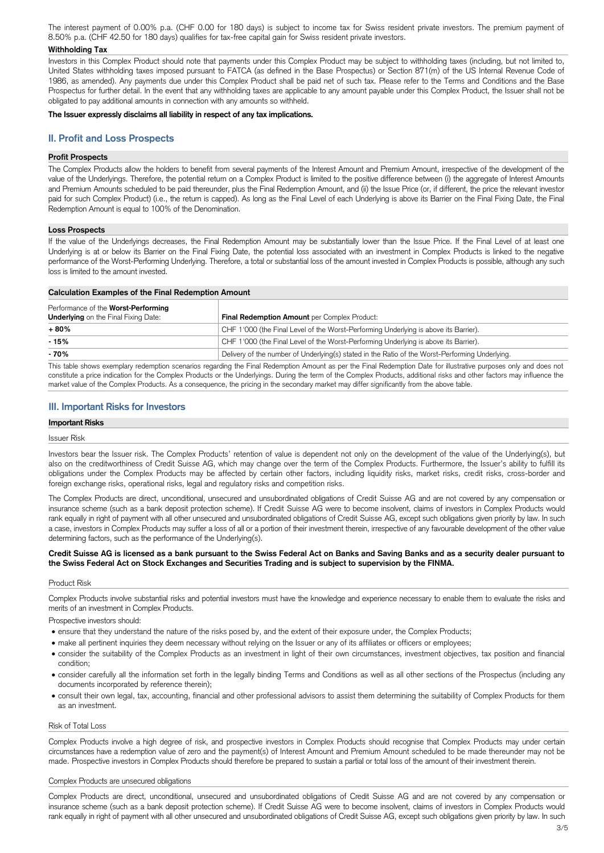The interest payment of 0.00% p.a. (CHF 0.00 for 180 days) is subject to income tax for Swiss resident private investors. The premium payment of 8.50% p.a. (CHF 42.50 for 180 days) qualifies for tax-free capital gain for Swiss resident private investors.

### **Withholding Tax**

Investors in this Complex Product should note that payments under this Complex Product may be subject to withholding taxes (including, but not limited to, United States withholding taxes imposed pursuant to FATCA (as defined in the Base Prospectus) or Section 871(m) of the US Internal Revenue Code of 1986, as amended). Any payments due under this Complex Product shall be paid net of such tax. Please refer to the Terms and Conditions and the Base Prospectus for further detail. In the event that any withholding taxes are applicable to any amount payable under this Complex Product, the Issuer shall not be obligated to pay additional amounts in connection with any amounts so withheld.

### **The Issuer expressly disclaims all liability in respect of any tax implications.**

# **II. Profit and Loss Prospects**

### **Profit Prospects**

The Complex Products allow the holders to benefit from several payments of the Interest Amount and Premium Amount, irrespective of the development of the value of the Underlyings. Therefore, the potential return on a Complex Product is limited to the positive difference between (i) the aggregate of Interest Amounts and Premium Amounts scheduled to be paid thereunder, plus the Final Redemption Amount, and (ii) the Issue Price (or, if different, the price the relevant investor paid for such Complex Product) (i.e., the return is capped). As long as the Final Level of each Underlying is above its Barrier on the Final Fixing Date, the Final Redemption Amount is equal to 100% of the Denomination.

### **Loss Prospects**

If the value of the Underlyings decreases, the Final Redemption Amount may be substantially lower than the Issue Price. If the Final Level of at least one Underlying is at or below its Barrier on the Final Fixing Date, the potential loss associated with an investment in Complex Products is linked to the negative performance of the Worst-Performing Underlying. Therefore, a total or substantial loss of the amount invested in Complex Products is possible, although any such loss is limited to the amount invested.

| <b>Calculation Examples of the Final Redemption Amount</b>                                |                                                                                                 |  |
|-------------------------------------------------------------------------------------------|-------------------------------------------------------------------------------------------------|--|
| Performance of the <b>Worst-Performing</b><br><b>Underlying</b> on the Final Fixing Date: | Final Redemption Amount per Complex Product:                                                    |  |
| + 80%                                                                                     | CHF 1'000 (the Final Level of the Worst-Performing Underlying is above its Barrier).            |  |
| $-15%$                                                                                    | CHF 1'000 (the Final Level of the Worst-Performing Underlying is above its Barrier).            |  |
| - 70%                                                                                     | Delivery of the number of Underlying(s) stated in the Ratio of the Worst-Performing Underlying. |  |

This table shows exemplary redemption scenarios regarding the Final Redemption Amount as per the Final Redemption Date for illustrative purposes only and does not constitute a price indication for the Complex Products or the Underlyings. During the term of the Complex Products, additional risks and other factors may influence the market value of the Complex Products. As a consequence, the pricing in the secondary market may differ significantly from the above table.

## **III. Important Risks for Investors**

### **Important Risks**

### Issuer Risk

Investors bear the Issuer risk. The Complex Products' retention of value is dependent not only on the development of the value of the Underlying(s), but also on the creditworthiness of Credit Suisse AG, which may change over the term of the Complex Products. Furthermore, the Issuer's ability to fulfill its obligations under the Complex Products may be affected by certain other factors, including liquidity risks, market risks, credit risks, cross-border and foreign exchange risks, operational risks, legal and regulatory risks and competition risks.

The Complex Products are direct, unconditional, unsecured and unsubordinated obligations of Credit Suisse AG and are not covered by any compensation or insurance scheme (such as a bank deposit protection scheme). If Credit Suisse AG were to become insolvent, claims of investors in Complex Products would rank equally in right of payment with all other unsecured and unsubordinated obligations of Credit Suisse AG, except such obligations given priority by law. In such a case, investors in Complex Products may suffer a loss of all or a portion of their investment therein, irrespective of any favourable development of the other value determining factors, such as the performance of the Underlying(s).

## **Credit Suisse AG is licensed as a bank pursuant to the Swiss Federal Act on Banks and Saving Banks and as a security dealer pursuant to the Swiss Federal Act on Stock Exchanges and Securities Trading and is subject to supervision by the FINMA.**

## Product Risk

Complex Products involve substantial risks and potential investors must have the knowledge and experience necessary to enable them to evaluate the risks and merits of an investment in Complex Products.

Prospective investors should:

- ensure that they understand the nature of the risks posed by, and the extent of their exposure under, the Complex Products;
- make all pertinent inquiries they deem necessary without relying on the Issuer or any of its affiliates or officers or employees;
- 
- consider the suitability of the Complex Products as an investment in light of their own circumstances, investment objectives, tax position and financial condition;
- consider carefully all the information set forth in the legally binding Terms and Conditions as well as all other sections of the Prospectus (including any documents incorporated by reference therein);
- consult their own legal, tax, accounting, financial and other professional advisors to assist them determining the suitability of Complex Products for them as an investment.

#### Risk of Total Loss

Complex Products involve a high degree of risk, and prospective investors in Complex Products should recognise that Complex Products may under certain circumstances have a redemption value of zero and the payment(s) of Interest Amount and Premium Amount scheduled to be made thereunder may not be made. Prospective investors in Complex Products should therefore be prepared to sustain a partial or total loss of the amount of their investment therein.

#### Complex Products are unsecured obligations

Complex Products are direct, unconditional, unsecured and unsubordinated obligations of Credit Suisse AG and are not covered by any compensation or insurance scheme (such as a bank deposit protection scheme). If Credit Suisse AG were to become insolvent, claims of investors in Complex Products would rank equally in right of payment with all other unsecured and unsubordinated obligations of Credit Suisse AG, except such obligations given priority by law. In such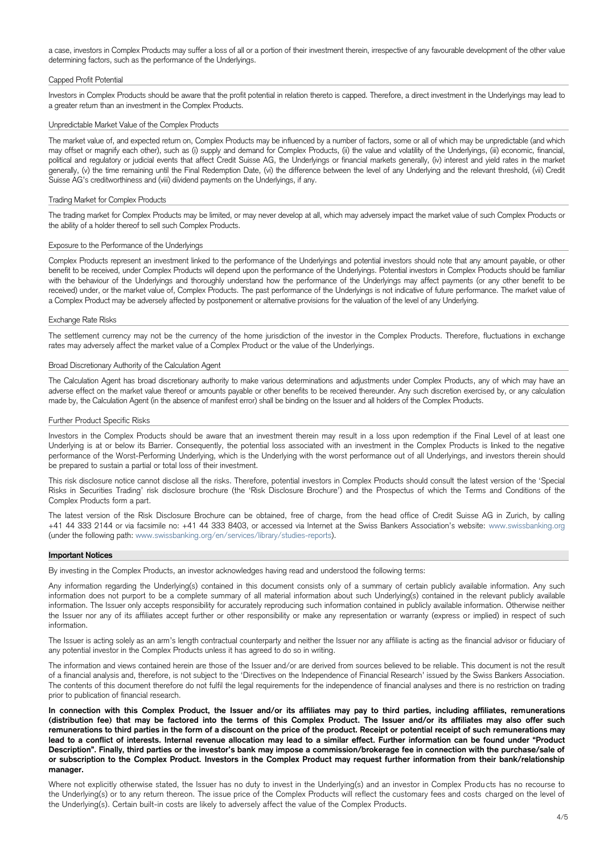a case, investors in Complex Products may suffer a loss of all or a portion of their investment therein, irrespective of any favourable development of the other value determining factors, such as the performance of the Underlyings.

### Capped Profit Potential

Investors in Complex Products should be aware that the profit potential in relation thereto is capped. Therefore, a direct investment in the Underlyings may lead to a greater return than an investment in the Complex Products.

## Unpredictable Market Value of the Complex Products

The market value of, and expected return on, Complex Products may be influenced by a number of factors, some or all of which may be unpredictable (and which may offset or magnify each other), such as (i) supply and demand for Complex Products, (ii) the value and volatility of the Underlyings, (iii) economic, financial, political and regulatory or judicial events that affect Credit Suisse AG, the Underlyings or financial markets generally, (iv) interest and yield rates in the market generally, (v) the time remaining until the Final Redemption Date, (vi) the difference between the level of any Underlying and the relevant threshold, (vii) Credit Suisse AG's creditworthiness and (viii) dividend payments on the Underlyings, if any.

#### Trading Market for Complex Products

The trading market for Complex Products may be limited, or may never develop at all, which may adversely impact the market value of such Complex Products or the ability of a holder thereof to sell such Complex Products.

#### Exposure to the Performance of the Underlyings

Complex Products represent an investment linked to the performance of the Underlyings and potential investors should note that any amount payable, or other benefit to be received, under Complex Products will depend upon the performance of the Underlyings. Potential investors in Complex Products should be familiar with the behaviour of the Underlyings and thoroughly understand how the performance of the Underlyings may affect payments (or any other benefit to be received) under, or the market value of, Complex Products. The past performance of the Underlyings is not indicative of future performance. The market value of a Complex Product may be adversely affected by postponement or alternative provisions for the valuation of the level of any Underlying.

#### Exchange Rate Risks

The settlement currency may not be the currency of the home jurisdiction of the investor in the Complex Products. Therefore, fluctuations in exchange rates may adversely affect the market value of a Complex Product or the value of the Underlyings.

#### Broad Discretionary Authority of the Calculation Agent

The Calculation Agent has broad discretionary authority to make various determinations and adjustments under Complex Products, any of which may have an adverse effect on the market value thereof or amounts payable or other benefits to be received thereunder. Any such discretion exercised by, or any calculation made by, the Calculation Agent (in the absence of manifest error) shall be binding on the Issuer and all holders of the Complex Products.

#### Further Product Specific Risks

Investors in the Complex Products should be aware that an investment therein may result in a loss upon redemption if the Final Level of at least one Underlying is at or below its Barrier. Consequently, the potential loss associated with an investment in the Complex Products is linked to the negative performance of the Worst-Performing Underlying, which is the Underlying with the worst performance out of all Underlyings, and investors therein should be prepared to sustain a partial or total loss of their investment.

This risk disclosure notice cannot disclose all the risks. Therefore, potential investors in Complex Products should consult the latest version of the 'Special Risks in Securities Trading' risk disclosure brochure (the 'Risk Disclosure Brochure') and the Prospectus of which the Terms and Conditions of the Complex Products form a part.

The latest version of the Risk Disclosure Brochure can be obtained, free of charge, from the head office of Credit Suisse AG in Zurich, by calling +41 44 333 2144 or via facsimile no: +41 44 333 8403, or accessed via Internet at the Swiss Bankers Association's website: www.swissbanking.org (under the following path: www.swissbanking.org/en/services/library/studies-reports).

#### **Important Notices**

By investing in the Complex Products, an investor acknowledges having read and understood the following terms:

Any information regarding the Underlying(s) contained in this document consists only of a summary of certain publicly available information. Any such information does not purport to be a complete summary of all material information about such Underlying(s) contained in the relevant publicly available information. The Issuer only accepts responsibility for accurately reproducing such information contained in publicly available information. Otherwise neither the Issuer nor any of its affiliates accept further or other responsibility or make any representation or warranty (express or implied) in respect of such information.

The Issuer is acting solely as an arm's length contractual counterparty and neither the Issuer nor any affiliate is acting as the financial advisor or fiduciary of

any potential investor in the Complex Products unless it has agreed to do so in writing.

The information and views contained herein are those of the Issuer and/or are derived from sources believed to be reliable. This document is not the result of a financial analysis and, therefore, is not subject to the 'Directives on the Independence of Financial Research' issued by the Swiss Bankers Association. The contents of this document therefore do not fulfil the legal requirements for the independence of financial analyses and there is no restriction on trading prior to publication of financial research.

**In connection with this Complex Product, the Issuer and/or its affiliates may pay to third parties, including affiliates, remunerations (distribution fee) that may be factored into the terms of this Complex Product. The Issuer and/or its affiliates may also offer such remunerations to third parties in the form of a discount on the price of the product. Receipt or potential receipt of such remunerations may lead to a conflict of interests. Internal revenue allocation may lead to a similar effect. Further information can be found under "Product Description". Finally, third parties or the investor's bank may impose a commission/brokerage fee in connection with the purchase/sale of or subscription to the Complex Product. Investors in the Complex Product may request further information from their bank/relationship manager.**

Where not explicitly otherwise stated, the Issuer has no duty to invest in the Underlying(s) and an investor in Complex Produ cts has no recourse to the Underlying(s) or to any return thereon. The issue price of the Complex Products will reflect the customary fees and costs charged on the level of the Underlying(s). Certain built-in costs are likely to adversely affect the value of the Complex Products.